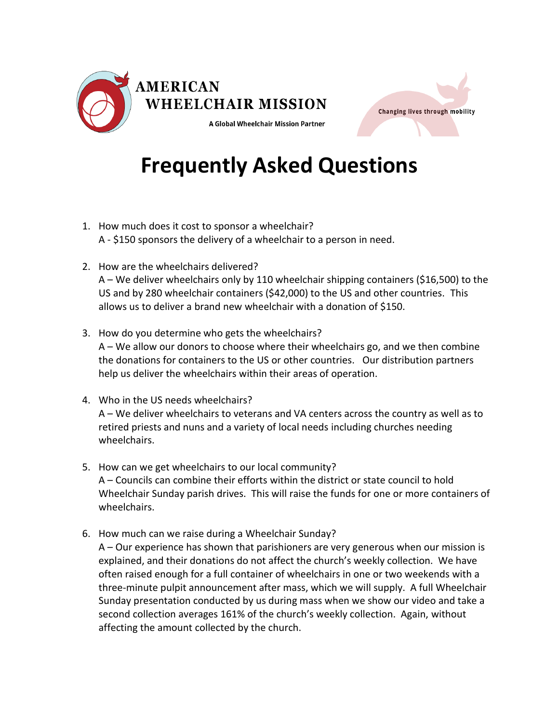



## **Frequently Asked Questions**

- 1. How much does it cost to sponsor a wheelchair? A - \$150 sponsors the delivery of a wheelchair to a person in need.
- 2. How are the wheelchairs delivered? A – We deliver wheelchairs only by 110 wheelchair shipping containers (\$16,500) to the US and by 280 wheelchair containers (\$42,000) to the US and other countries. This allows us to deliver a brand new wheelchair with a donation of \$150.
- 3. How do you determine who gets the wheelchairs? A – We allow our donors to choose where their wheelchairs go, and we then combine the donations for containers to the US or other countries. Our distribution partners help us deliver the wheelchairs within their areas of operation.
- 4. Who in the US needs wheelchairs? A – We deliver wheelchairs to veterans and VA centers across the country as well as to retired priests and nuns and a variety of local needs including churches needing wheelchairs.
- 5. How can we get wheelchairs to our local community? A – Councils can combine their efforts within the district or state council to hold Wheelchair Sunday parish drives. This will raise the funds for one or more containers of wheelchairs.
- 6. How much can we raise during a Wheelchair Sunday? A – Our experience has shown that parishioners are very generous when our mission is explained, and their donations do not affect the church's weekly collection. We have often raised enough for a full container of wheelchairs in one or two weekends with a three-minute pulpit announcement after mass, which we will supply. A full Wheelchair Sunday presentation conducted by us during mass when we show our video and take a second collection averages 161% of the church's weekly collection. Again, without affecting the amount collected by the church.